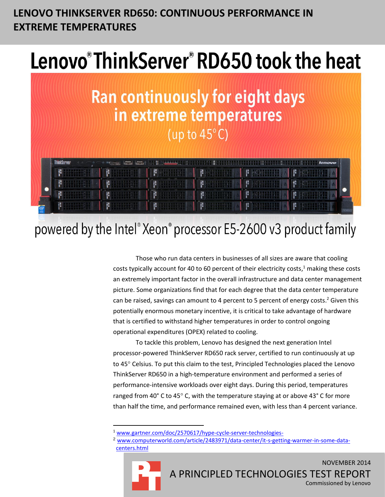# **LENOVO THINKSERVER RD650: CONTINUOUS PERFORMANCE IN EXTREME TEMPERATURES**

# Lenovo®ThinkServer®RD650 took the heat



# powered by the Intel® Xeon® processor E5-2600 v3 product family

Those who run data centers in businesses of all sizes are aware that cooling costs typically account for 40 to 60 percent of their electricity costs,<sup>1</sup> making these costs an extremely important factor in the overall infrastructure and data center management picture. Some organizations find that for each degree that the data center temperature can be raised, savings can amount to 4 percent to 5 percent of energy costs.<sup>2</sup> Given this potentially enormous monetary incentive, it is critical to take advantage of hardware that is certified to withstand higher temperatures in order to control ongoing operational expenditures (OPEX) related to cooling.

To tackle this problem, Lenovo has designed the next generation Intel processor-powered ThinkServer RD650 rack server, certified to run continuously at up to 45° Celsius. To put this claim to the test, Principled Technologies placed the Lenovo ThinkServer RD650 in a high-temperature environment and performed a series of performance-intensive workloads over eight days. During this period, temperatures ranged from 40° C to 45° C, with the temperature staying at or above 43° C for more than half the time, and performance remained even, with less than 4 percent variance.

<sup>2</sup> www.computerworld.com/article/2483971/data-center/it-s-getting-warmer-in-some-datacenters.html



 $\overline{\phantom{a}}$ 

<sup>1</sup> [www.gartner.com/doc/2570617/hype-cycle-server-technologies-](https://www.gartner.com/doc/2570617/hype-cycle-server-technologies-)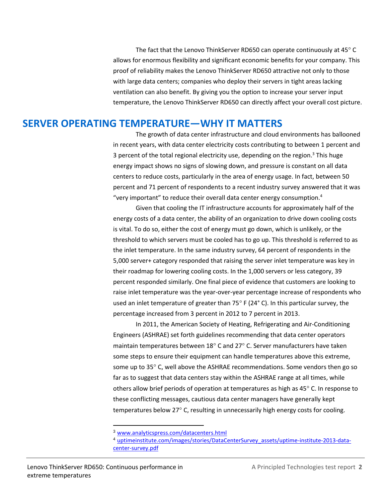The fact that the Lenovo ThinkServer RD650 can operate continuously at 45°C allows for enormous flexibility and significant economic benefits for your company. This proof of reliability makes the Lenovo ThinkServer RD650 attractive not only to those with large data centers; companies who deploy their servers in tight areas lacking ventilation can also benefit. By giving you the option to increase your server input temperature, the Lenovo ThinkServer RD650 can directly affect your overall cost picture.

#### **SERVER OPERATING TEMPERATURE—WHY IT MATTERS**

The growth of data center infrastructure and cloud environments has ballooned in recent years, with data center electricity costs contributing to between 1 percent and 3 percent of the total regional electricity use, depending on the region.<sup>3</sup> This huge energy impact shows no signs of slowing down, and pressure is constant on all data centers to reduce costs, particularly in the area of energy usage. In fact, between 50 percent and 71 percent of respondents to a recent industry survey answered that it was "very important" to reduce their overall data center energy consumption. $4$ 

Given that cooling the IT infrastructure accounts for approximately half of the energy costs of a data center, the ability of an organization to drive down cooling costs is vital. To do so, either the cost of energy must go down, which is unlikely, or the threshold to which servers must be cooled has to go up. This threshold is referred to as the inlet temperature. In the same industry survey, 64 percent of respondents in the 5,000 server+ category responded that raising the server inlet temperature was key in their roadmap for lowering cooling costs. In the 1,000 servers or less category, 39 percent responded similarly. One final piece of evidence that customers are looking to raise inlet temperature was the year-over-year percentage increase of respondents who used an inlet temperature of greater than 75 $\degree$  F (24 $\degree$  C). In this particular survey, the percentage increased from 3 percent in 2012 to 7 percent in 2013.

In 2011, the American Society of Heating, Refrigerating and Air-Conditioning Engineers (ASHRAE) set forth guidelines recommending that data center operators maintain temperatures between  $18^{\circ}$  C and 27 $^{\circ}$  C. Server manufacturers have taken some steps to ensure their equipment can handle temperatures above this extreme, some up to 35° C, well above the ASHRAE recommendations. Some vendors then go so far as to suggest that data centers stay within the ASHRAE range at all times, while others allow brief periods of operation at temperatures as high as 45° C. In response to these conflicting messages, cautious data center managers have generally kept temperatures below 27° C, resulting in unnecessarily high energy costs for cooling.

 $\overline{\phantom{a}}$ 

<sup>3</sup> [www.analyticspress.com/datacenters.html](http://www.analyticspress.com/datacenters.html)

<sup>4</sup> [uptimeinstitute.com/images/stories/DataCenterSurvey\\_assets/uptime-institute-2013-data](http://uptimeinstitute.com/images/stories/DataCenterSurvey_assets/uptime-institute-2013-data-center-survey.pdf)[center-survey.pdf](http://uptimeinstitute.com/images/stories/DataCenterSurvey_assets/uptime-institute-2013-data-center-survey.pdf)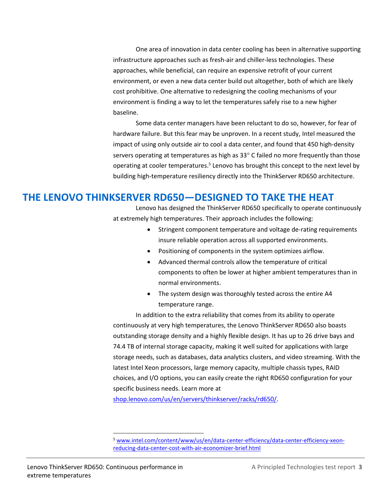One area of innovation in data center cooling has been in alternative supporting infrastructure approaches such as fresh-air and chiller-less technologies. These approaches, while beneficial, can require an expensive retrofit of your current environment, or even a new data center build out altogether, both of which are likely cost prohibitive. One alternative to redesigning the cooling mechanisms of your environment is finding a way to let the temperatures safely rise to a new higher baseline.

Some data center managers have been reluctant to do so, however, for fear of hardware failure. But this fear may be unproven. In a recent study, Intel measured the impact of using only outside air to cool a data center, and found that 450 high-density servers operating at temperatures as high as  $33^{\circ}$  C failed no more frequently than those operating at cooler temperatures.<sup>5</sup> Lenovo has brought this concept to the next level by building high-temperature resiliency directly into the ThinkServer RD650 architecture.

### **THE LENOVO THINKSERVER RD650—DESIGNED TO TAKE THE HEAT**

Lenovo has designed the ThinkServer RD650 specifically to operate continuously at extremely high temperatures. Their approach includes the following:

- Stringent component temperature and voltage de-rating requirements insure reliable operation across all supported environments.
- Positioning of components in the system optimizes airflow.
- Advanced thermal controls allow the temperature of critical components to often be lower at higher ambient temperatures than in normal environments.
- The system design was thoroughly tested across the entire A4 temperature range.

In addition to the extra reliability that comes from its ability to operate continuously at very high temperatures, the Lenovo ThinkServer RD650 also boasts outstanding storage density and a highly flexible design. It has up to 26 drive bays and 74.4 TB of internal storage capacity, making it well suited for applications with large storage needs, such as databases, data analytics clusters, and video streaming. With the latest Intel Xeon processors, large memory capacity, multiple chassis types, RAID choices, and I/O options, you can easily create the right RD650 configuration for your specific business needs. Learn more at

[shop.lenovo.com/us/en/servers/thinkserver/racks/rd650/.](http://shop.lenovo.com/us/en/servers/thinkserver/racks/rd650/)

l

<sup>5</sup> [www.intel.com/content/www/us/en/data-center-efficiency/data-center-efficiency-xeon](http://www.intel.com/content/www/us/en/data-center-efficiency/data-center-efficiency-xeon-reducing-data-center-cost-with-air-economizer-brief.html)[reducing-data-center-cost-with-air-economizer-brief.html](http://www.intel.com/content/www/us/en/data-center-efficiency/data-center-efficiency-xeon-reducing-data-center-cost-with-air-economizer-brief.html)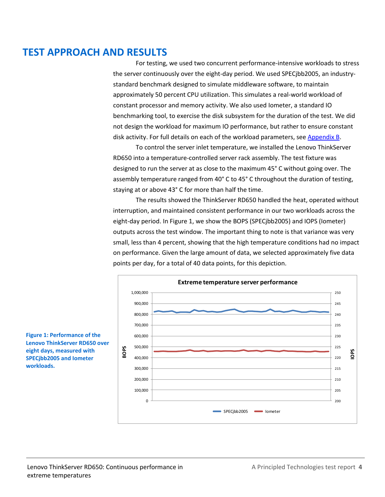# **TEST APPROACH AND RESULTS**

For testing, we used two concurrent performance-intensive workloads to stress the server continuously over the eight-day period. We used SPECjbb2005, an industrystandard benchmark designed to simulate middleware software, to maintain approximately 50 percent CPU utilization. This simulates a real-world workload of constant processor and memory activity. We also used Iometer, a standard IO benchmarking tool, to exercise the disk subsystem for the duration of the test. We did not design the workload for maximum IO performance, but rather to ensure constant disk activity. For full details on each of the workload parameters, see [Appendix B.](#page-8-0)

To control the server inlet temperature, we installed the Lenovo ThinkServer RD650 into a temperature-controlled server rack assembly. The test fixture was designed to run the server at as close to the maximum 45° C without going over. The assembly temperature ranged from 40° C to 45° C throughout the duration of testing, staying at or above 43° C for more than half the time.

The results showed the ThinkServer RD650 handled the heat, operated without interruption, and maintained consistent performance in our two workloads across the eight-day period. In Figure 1, we show the BOPS (SPECjbb2005) and IOPS (Iometer) outputs across the test window. The important thing to note is that variance was very small, less than 4 percent, showing that the high temperature conditions had no impact on performance. Given the large amount of data, we selected approximately five data points per day, for a total of 40 data points, for this depiction.



**Figure 1: Performance of the Lenovo ThinkServer RD650 over eight days, measured with SPECjbb2005 and Iometer workloads.**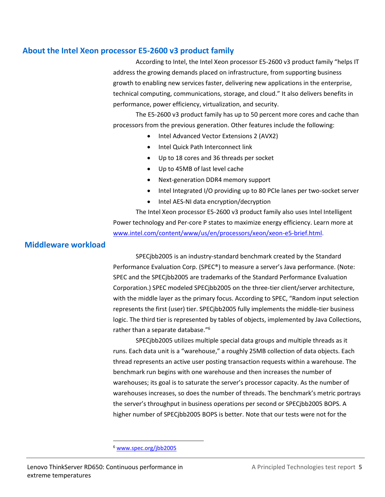#### **About the Intel Xeon processor E5-2600 v3 product family**

According to Intel, the Intel Xeon processor E5-2600 v3 product family "helps IT address the growing demands placed on infrastructure, from supporting business growth to enabling new services faster, delivering new applications in the enterprise, technical computing, communications, storage, and cloud." It also delivers benefits in performance, power efficiency, virtualization, and security.

The E5-2600 v3 product family has up to 50 percent more cores and cache than processors from the previous generation. Other features include the following:

- Intel Advanced Vector Extensions 2 (AVX2)
- Intel Quick Path Interconnect link
- Up to 18 cores and 36 threads per socket
- Up to 45MB of last level cache
- Next-generation DDR4 memory support
- Intel Integrated I/O providing up to 80 PCIe lanes per two-socket server
- Intel AES-NI data encryption/decryption

The Intel Xeon processor E5-2600 v3 product family also uses Intel Intelligent Power technology and Per-core P states to maximize energy efficiency. Learn more at [www.intel.com/content/www/us/en/processors/xeon/xeon-e5-brief.html.](http://www.intel.com/content/www/us/en/processors/xeon/xeon-e5-brief.html)

#### **Middleware workload**

SPECjbb2005 is an industry-standard benchmark created by the Standard Performance Evaluation Corp. (SPEC®) to measure a server's Java performance. (Note: SPEC and the SPECjbb2005 are trademarks of the Standard Performance Evaluation Corporation.) SPEC modeled SPECjbb2005 on the three-tier client/server architecture, with the middle layer as the primary focus. According to SPEC, "Random input selection represents the first (user) tier. SPECjbb2005 fully implements the middle-tier business logic. The third tier is represented by tables of objects, implemented by Java Collections, rather than a separate database."<sup>6</sup>

SPECjbb2005 utilizes multiple special data groups and multiple threads as it runs. Each data unit is a "warehouse," a roughly 25MB collection of data objects. Each thread represents an active user posting transaction requests within a warehouse. The benchmark run begins with one warehouse and then increases the number of warehouses; its goal is to saturate the server's processor capacity. As the number of warehouses increases, so does the number of threads. The benchmark's metric portrays the server's throughput in business operations per second or SPECjbb2005 BOPS. A higher number of SPECjbb2005 BOPS is better. Note that our tests were not for the

 $\overline{\phantom{a}}$ 

<sup>6</sup> [www.spec.org/jbb2005](http://www.spec.org/jbb2005)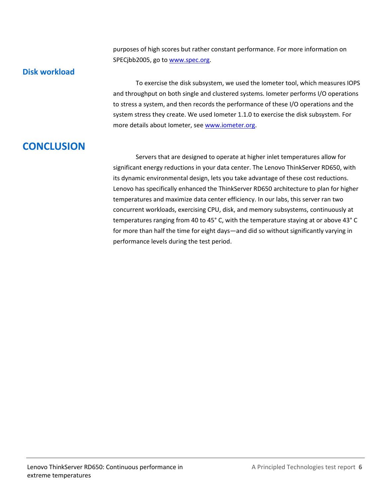purposes of high scores but rather constant performance. For more information on SPECjbb2005, go to [www.spec.org.](http://www.spec.org/)

#### **Disk workload**

To exercise the disk subsystem, we used the Iometer tool, which measures IOPS and throughput on both single and clustered systems. Iometer performs I/O operations to stress a system, and then records the performance of these I/O operations and the system stress they create. We used Iometer 1.1.0 to exercise the disk subsystem. For more details about Iometer, see [www.iometer.org.](http://www.iometer.org/)

# **CONCLUSION**

Servers that are designed to operate at higher inlet temperatures allow for significant energy reductions in your data center. The Lenovo ThinkServer RD650, with its dynamic environmental design, lets you take advantage of these cost reductions. Lenovo has specifically enhanced the ThinkServer RD650 architecture to plan for higher temperatures and maximize data center efficiency. In our labs, this server ran two concurrent workloads, exercising CPU, disk, and memory subsystems, continuously at temperatures ranging from 40 to 45° C, with the temperature staying at or above 43° C for more than half the time for eight days—and did so without significantly varying in performance levels during the test period.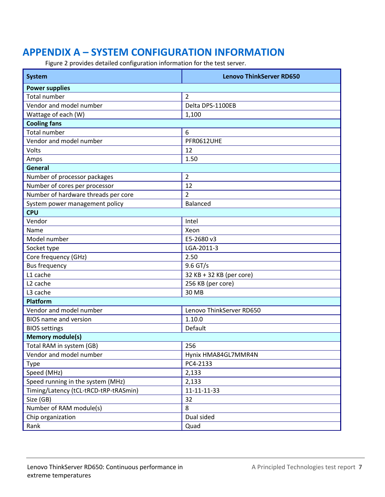# **APPENDIX A – SYSTEM CONFIGURATION INFORMATION**

Figure 2 provides detailed configuration information for the test server.

| System                                | <b>Lenovo ThinkServer RD650</b> |  |  |  |  |  |
|---------------------------------------|---------------------------------|--|--|--|--|--|
| <b>Power supplies</b>                 |                                 |  |  |  |  |  |
| <b>Total number</b>                   | $\overline{2}$                  |  |  |  |  |  |
| Vendor and model number               | Delta DPS-1100EB                |  |  |  |  |  |
| Wattage of each (W)                   | 1,100                           |  |  |  |  |  |
| <b>Cooling fans</b>                   |                                 |  |  |  |  |  |
| <b>Total number</b>                   | 6                               |  |  |  |  |  |
| Vendor and model number               | PFR0612UHE                      |  |  |  |  |  |
| Volts                                 | 12                              |  |  |  |  |  |
| Amps                                  | 1.50                            |  |  |  |  |  |
| <b>General</b>                        |                                 |  |  |  |  |  |
| Number of processor packages          | $\overline{2}$                  |  |  |  |  |  |
| Number of cores per processor         | 12                              |  |  |  |  |  |
| Number of hardware threads per core   | $\overline{2}$                  |  |  |  |  |  |
| System power management policy        | <b>Balanced</b>                 |  |  |  |  |  |
| <b>CPU</b>                            |                                 |  |  |  |  |  |
| Vendor                                | Intel                           |  |  |  |  |  |
| Name                                  | Xeon                            |  |  |  |  |  |
| Model number                          | E5-2680 v3                      |  |  |  |  |  |
| Socket type                           | LGA-2011-3                      |  |  |  |  |  |
| Core frequency (GHz)                  | 2.50                            |  |  |  |  |  |
| <b>Bus frequency</b>                  | 9.6 GT/s                        |  |  |  |  |  |
| L1 cache                              | 32 KB + 32 KB (per core)        |  |  |  |  |  |
| L <sub>2</sub> cache                  | 256 KB (per core)               |  |  |  |  |  |
| L3 cache                              | 30 MB                           |  |  |  |  |  |
| Platform                              |                                 |  |  |  |  |  |
| Vendor and model number               | Lenovo ThinkServer RD650        |  |  |  |  |  |
| <b>BIOS</b> name and version          | 1.10.0                          |  |  |  |  |  |
| <b>BIOS</b> settings                  | Default                         |  |  |  |  |  |
| <b>Memory module(s)</b>               |                                 |  |  |  |  |  |
| Total RAM in system (GB)              | 256                             |  |  |  |  |  |
| Vendor and model number               | Hynix HMA84GL7MMR4N             |  |  |  |  |  |
| <b>Type</b>                           | PC4-2133                        |  |  |  |  |  |
| Speed (MHz)                           | 2,133                           |  |  |  |  |  |
| Speed running in the system (MHz)     | 2,133                           |  |  |  |  |  |
| Timing/Latency (tCL-tRCD-tRP-tRASmin) | 11-11-11-33                     |  |  |  |  |  |
| Size (GB)                             | 32                              |  |  |  |  |  |
| Number of RAM module(s)               | 8                               |  |  |  |  |  |
| Chip organization                     | Dual sided                      |  |  |  |  |  |
| Rank                                  | Quad                            |  |  |  |  |  |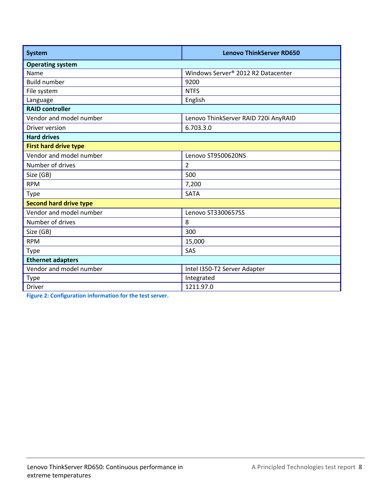| <b>System</b>                 | <b>Lenovo ThinkServer RD650</b>      |  |  |  |  |  |
|-------------------------------|--------------------------------------|--|--|--|--|--|
| <b>Operating system</b>       |                                      |  |  |  |  |  |
| Name                          | Windows Server® 2012 R2 Datacenter   |  |  |  |  |  |
| <b>Build number</b>           | 9200                                 |  |  |  |  |  |
| File system                   | <b>NTFS</b>                          |  |  |  |  |  |
| Language                      | English                              |  |  |  |  |  |
| <b>RAID controller</b>        |                                      |  |  |  |  |  |
| Vendor and model number       | Lenovo ThinkServer RAID 720i AnyRAID |  |  |  |  |  |
| Driver version                | 6.703.3.0                            |  |  |  |  |  |
| <b>Hard drives</b>            |                                      |  |  |  |  |  |
| <b>First hard drive type</b>  |                                      |  |  |  |  |  |
| Vendor and model number       | Lenovo ST9500620NS                   |  |  |  |  |  |
| Number of drives              | $\overline{2}$                       |  |  |  |  |  |
| Size (GB)                     | 500                                  |  |  |  |  |  |
| <b>RPM</b>                    | 7,200                                |  |  |  |  |  |
| <b>Type</b>                   | <b>SATA</b>                          |  |  |  |  |  |
| <b>Second hard drive type</b> |                                      |  |  |  |  |  |
| Vendor and model number       | Lenovo ST3300657SS                   |  |  |  |  |  |
| Number of drives              | 8                                    |  |  |  |  |  |
| Size (GB)                     | 300                                  |  |  |  |  |  |
| <b>RPM</b>                    | 15,000                               |  |  |  |  |  |
| <b>Type</b>                   | SAS                                  |  |  |  |  |  |
| <b>Ethernet adapters</b>      |                                      |  |  |  |  |  |
| Vendor and model number       | Intel I350-T2 Server Adapter         |  |  |  |  |  |
| <b>Type</b>                   | Integrated                           |  |  |  |  |  |
| <b>Driver</b>                 | 1211.97.0                            |  |  |  |  |  |

**Figure 2: Configuration information for the test server.**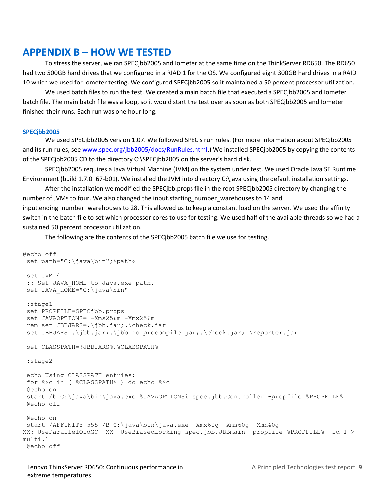# <span id="page-8-0"></span>**APPENDIX B – HOW WE TESTED**

To stress the server, we ran SPECjbb2005 and Iometer at the same time on the ThinkServer RD650. The RD650 had two 500GB hard drives that we configured in a RIAD 1 for the OS. We configured eight 300GB hard drives in a RAID 10 which we used for Iometer testing. We configured SPECjbb2005 so it maintained a 50 percent processor utilization.

We used batch files to run the test. We created a main batch file that executed a SPECjbb2005 and Iometer batch file. The main batch file was a loop, so it would start the test over as soon as both SPECjbb2005 and Iometer finished their runs. Each run was one hour long.

#### **SPECjbb2005**

We used SPECjbb2005 version 1.07. We followed SPEC's run rules. (For more information about SPECjbb2005 and its run rules, see [www.spec.org/jbb2005/docs/RunRules.html.](http://www.spec.org/jbb2005/docs/RunRules.html)) We installed SPECjbb2005 by copying the contents of the SPECjbb2005 CD to the directory C:\SPECjbb2005 on the server's hard disk.

SPECjbb2005 requires a Java Virtual Machine (JVM) on the system under test. We used Oracle Java SE Runtime Environment (build 1.7.0\_67-b01). We installed the JVM into directory C:\java using the default installation settings.

After the installation we modified the SPECjbb.props file in the root SPECjbb2005 directory by changing the number of JVMs to four. We also changed the input.starting number warehouses to 14 and input.ending number warehouses to 28. This allowed us to keep a constant load on the server. We used the affinity switch in the batch file to set which processor cores to use for testing. We used half of the available threads so we had a sustained 50 percent processor utilization.

The following are the contents of the SPECjbb2005 batch file we use for testing.

```
@echo off
 set path="C:\java\bin";%path%
set JVM=4
 : : Set JAVA HOME to Java.exe path.
set JAVA HOME="C:\java\bin"
 :stage1
 set PROPFILE=SPECjbb.props
set JAVAOPTIONS= -Xms256m -Xmx256m
rem set JBBJARS=.\jbb.jar;.\check.jar
set JBBJARS=.\jbb.jar;.\jbb no precompile.jar;.\check.jar;.\reporter.jar
set CLASSPATH=%JBBJARS%;%CLASSPATH%
 :stage2
echo Using CLASSPATH entries:
 for %%c in ( %CLASSPATH% ) do echo %%c
 @echo on
 start /b C:\java\bin\java.exe %JAVAOPTIONS% spec.jbb.Controller -propfile %PROPFILE% 
 @echo off
@echo on
start /AFFINITY 555 /B C:\java\bin\java.exe -Xmx60g -Xms60g -Xmn40g -
XX:+UseParallelOldGC -XX:-UseBiasedLocking spec.jbb.JBBmain -propfile %PROPFILE% -id 1 > 
multi.1
@echo off
```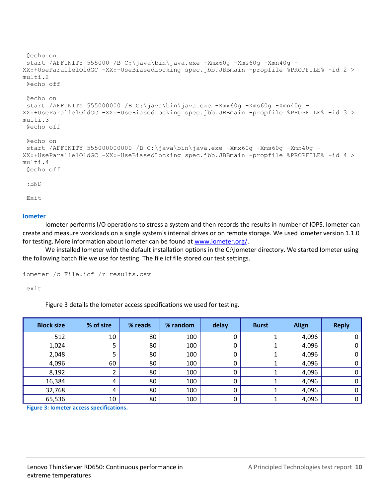```
@echo on
 start /AFFINITY 555000 /B C:\java\bin\java.exe -Xmx60g -Xms60g -Xmn40g -
XX:+UseParallelOldGC -XX:-UseBiasedLocking spec.jbb.JBBmain -propfile %PROPFILE% -id 2 > 
multi.2
 @echo off
 @echo on
 start /AFFINITY 555000000 /B C:\java\bin\java.exe -Xmx60g -Xms60g -Xmn40g -
XX:+UseParallelOldGC -XX:-UseBiasedLocking spec.jbb.JBBmain -propfile %PROPFILE% -id 3 > 
multi.3
 @echo off
 @echo on
 start /AFFINITY 555000000000 /B C:\java\bin\java.exe -Xmx60g -Xms60g -Xmn40g -
XX:+UseParallelOldGC -XX:-UseBiasedLocking spec.jbb.JBBmain -propfile %PROPFILE% -id 4 > 
multi.4
 @echo off
 :END
 Exit
```
#### **Iometer**

Iometer performs I/O operations to stress a system and then records the results in number of IOPS. Iometer can create and measure workloads on a single system's internal drives or on remote storage. We used Iometer version 1.1.0 for testing. More information about Iometer can be found at [www.iometer.org/.](http://www.iometer.org/)

We installed Iometer with the default installation options in the C:\Iometer directory. We started Iometer using the following batch file we use for testing. The file.icf file stored our test settings.

```
iometer /c File.icf /r results.csv
```
exit

Figure 3 details the Iometer access specifications we used for testing.

| <b>Block size</b> | % of size       | % reads | % random | delay | <b>Burst</b> | <b>Align</b> | <b>Reply</b> |
|-------------------|-----------------|---------|----------|-------|--------------|--------------|--------------|
| 512               | 10              | 80      | 100      |       |              | 4,096        | 0            |
| 1,024             | 5               | 80      | 100      |       |              | 4,096        | 0            |
| 2,048             |                 | 80      | 100      |       |              | 4,096        | 0            |
| 4,096             | 60              | 80      | 100      |       |              | 4,096        | 0            |
| 8,192             |                 | 80      | 100      |       |              | 4,096        | 0            |
| 16,384            | 4               | 80      | 100      |       |              | 4,096        | 0            |
| 32,768            | 4               | 80      | 100      |       |              | 4,096        | 0            |
| 65,536            | 10 <sup>°</sup> | 80      | 100      |       |              | 4,096        | 0            |

**Figure 3: Iometer access specifications.**